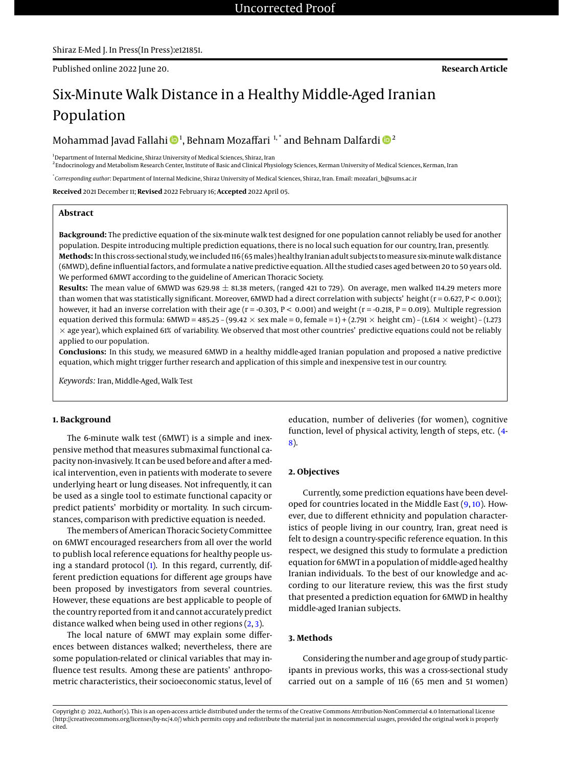# Six-Minute Walk Distance in a Healthy Middle-Aged Iranian Population

Mohammad Javad Fallahi ��1, Behnam Mozaffari  $^{1, *}$  and Behnam Dalfardi ��

<sup>1</sup>Department of Internal Medicine, Shiraz University of Medical Sciences, Shiraz, Iran

2 Endocrinology and Metabolism Research Center, Institute of Basic and Clinical Physiology Sciences, Kerman University of Medical Sciences, Kerman, Iran

\* *Corresponding author*: Department of Internal Medicine, Shiraz University of Medical Sciences, Shiraz, Iran. Email: mozafari\_b@sums.ac.ir

**Received** 2021 December 11; **Revised** 2022 February 16; **Accepted** 2022 April 05.

## **Abstract**

**Background:** The predictive equation of the six-minute walk test designed for one population cannot reliably be used for another population. Despite introducing multiple prediction equations, there is no local such equation for our country, Iran, presently. **Methods:** In this cross-sectional study, we included 116 (65males) healthy Iranian adult subjects tomeasure six-minute walk distance (6MWD), define influential factors, and formulate a native predictive equation. All the studied cases aged between 20 to 50 years old. We performed 6MWT according to the guideline of American Thoracic Society.

**Results:** The mean value of 6MWD was 629.98  $\pm$  81.38 meters, (ranged 421 to 729). On average, men walked 114.29 meters more than women that was statistically significant. Moreover, 6MWD had a direct correlation with subjects' height  $(r = 0.627, P < 0.001)$ ; however, it had an inverse correlation with their age  $(r = -0.303, P < 0.001)$  and weight  $(r = -0.218, P = 0.019)$ . Multiple regression equation derived this formula:  $6MWD = 485.25 - (99.42 \times$  sex male  $= 0$ , female  $= 1) + (2.791 \times$  height cm $) - (1.614 \times$  weight $) - (1.273$  $\times$  age year), which explained 61% of variability. We observed that most other countries' predictive equations could not be reliably applied to our population.

**Conclusions:** In this study, we measured 6MWD in a healthy middle-aged Iranian population and proposed a native predictive equation, which might trigger further research and application of this simple and inexpensive test in our country.

*Keywords:* Iran, Middle-Aged, Walk Test

## **1. Background**

The 6-minute walk test (6MWT) is a simple and inexpensive method that measures submaximal functional capacity non-invasively. It can be used before and after amedical intervention, even in patients with moderate to severe underlying heart or lung diseases. Not infrequently, it can be used as a single tool to estimate functional capacity or predict patients' morbidity or mortality. In such circumstances, comparison with predictive equation is needed.

The members of American Thoracic Society Committee on 6MWT encouraged researchers from all over the world to publish local reference equations for healthy people using a standard protocol [\(1\)](#page-3-0). In this regard, currently, different prediction equations for different age groups have been proposed by investigators from several countries. However, these equations are best applicable to people of the country reported from it and cannot accurately predict distance walked when being used in other regions  $(2, 3)$  $(2, 3)$  $(2, 3)$ .

The local nature of 6MWT may explain some differences between distances walked; nevertheless, there are some population-related or clinical variables that may influence test results. Among these are patients' anthropometric characteristics, their socioeconomic status, level of

education, number of deliveries (for women), cognitive function, level of physical activity, length of steps, etc. [\(4-](#page-4-1) [8\)](#page-4-2).

## **2. Objectives**

Currently, some prediction equations have been developed for countries located in the Middle East [\(9,](#page-4-3) [10\)](#page-4-4). However, due to different ethnicity and population characteristics of people living in our country, Iran, great need is felt to design a country-specific reference equation. In this respect, we designed this study to formulate a prediction equation for 6MWT in a population of middle-aged healthy Iranian individuals. To the best of our knowledge and according to our literature review, this was the first study that presented a prediction equation for 6MWD in healthy middle-aged Iranian subjects.

#### **3. Methods**

Considering the number and age group of study participants in previous works, this was a cross-sectional study carried out on a sample of 116 (65 men and 51 women)

Copyright © 2022, Author(s). This is an open-access article distributed under the terms of the Creative Commons Attribution-NonCommercial 4.0 International License (http://creativecommons.org/licenses/by-nc/4.0/) which permits copy and redistribute the material just in noncommercial usages, provided the original work is properly cited.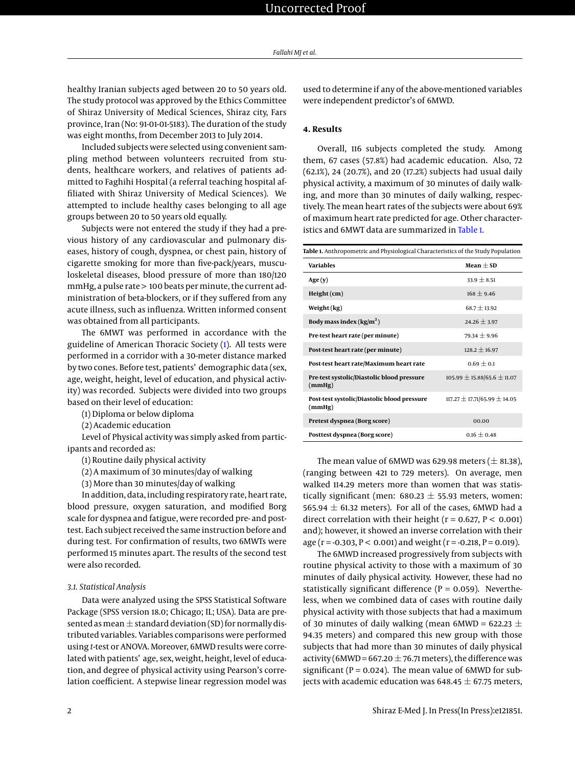healthy Iranian subjects aged between 20 to 50 years old. The study protocol was approved by the Ethics Committee of Shiraz University of Medical Sciences, Shiraz city, Fars province, Iran (No: 91-01-01-5183). The duration of the study was eight months, from December 2013 to July 2014.

Included subjects were selected using convenient sampling method between volunteers recruited from students, healthcare workers, and relatives of patients admitted to Faghihi Hospital (a referral teaching hospital affiliated with Shiraz University of Medical Sciences). We attempted to include healthy cases belonging to all age groups between 20 to 50 years old equally.

Subjects were not entered the study if they had a previous history of any cardiovascular and pulmonary diseases, history of cough, dyspnea, or chest pain, history of cigarette smoking for more than five-pack/years, musculoskeletal diseases, blood pressure of more than 180/120 mmHg, a pulse rate > 100 beats per minute, the current administration of beta-blockers, or if they suffered from any acute illness, such as influenza. Written informed consent was obtained from all participants.

The 6MWT was performed in accordance with the guideline of American Thoracic Society [\(1\)](#page-3-0). All tests were performed in a corridor with a 30-meter distance marked by two cones. Before test, patients' demographic data (sex, age, weight, height, level of education, and physical activity) was recorded. Subjects were divided into two groups based on their level of education:

(1) Diploma or below diploma

(2) Academic education

Level of Physical activity was simply asked from participants and recorded as:

(1) Routine daily physical activity

(2) A maximum of 30 minutes/day of walking

(3) More than 30 minutes/day of walking

In addition, data, including respiratory rate, heart rate, blood pressure, oxygen saturation, and modified Borg scale for dyspnea and fatigue, were recorded pre- and posttest. Each subject received the same instruction before and during test. For confirmation of results, two 6MWTs were performed 15 minutes apart. The results of the second test were also recorded.

#### *3.1. Statistical Analysis*

Data were analyzed using the SPSS Statistical Software Package (SPSS version 18.0; Chicago; IL; USA). Data are presented as mean  $\pm$  standard deviation (SD) for normally distributed variables. Variables comparisons were performed using *t*-test or ANOVA. Moreover, 6MWD results were correlated with patients' age, sex, weight, height, level of education, and degree of physical activity using Pearson's correlation coefficient. A stepwise linear regression model was

used to determine if any of the above-mentioned variables were independent predictor's of 6MWD.

## **4. Results**

Overall, 116 subjects completed the study. Among them, 67 cases (57.8%) had academic education. Also, 72 (62.1%), 24 (20.7%), and 20 (17.2%) subjects had usual daily physical activity, a maximum of 30 minutes of daily walking, and more than 30 minutes of daily walking, respectively. The mean heart rates of the subjects were about 69% of maximum heart rate predicted for age. Other characteristics and 6MWT data are summarized in [Table 1.](#page-1-0)

<span id="page-1-0"></span>

| Table 1. Anthropometric and Physiological Characteristics of the Study Population |                                    |  |  |  |
|-----------------------------------------------------------------------------------|------------------------------------|--|--|--|
| <b>Variables</b>                                                                  | Mean $\pm$ SD                      |  |  |  |
| Age(y)                                                                            | $33.9 + 8.51$                      |  |  |  |
| $Height$ (cm)                                                                     | $168 + 9.46$                       |  |  |  |
| Weight (kg)                                                                       | $68.7 + 13.92$                     |  |  |  |
| Body mass index $(kg/m2)$                                                         | $24.26 + 3.97$                     |  |  |  |
| Pre-test heart rate (per minute)                                                  | $79.34 + 9.96$                     |  |  |  |
| Post-test heart rate (per minute)                                                 | $128.2 + 16.97$                    |  |  |  |
| Post-test heart rate/Maximum heart rate                                           | $0.69 \pm 0.1$                     |  |  |  |
| Pre-test systolic/Diastolic blood pressure<br>(mmHg)                              | $105.99 \pm 15.88/65.6 \pm 11.07$  |  |  |  |
| Post-test systolic/Diastolic blood pressure<br>(mmHg)                             | $117.27 \pm 17.71/65.99 \pm 14.05$ |  |  |  |
| Pretest dyspnea (Borg score)                                                      | 00.00                              |  |  |  |
| Posttest dyspnea (Borg score)                                                     | $0.16 + 0.48$                      |  |  |  |

The mean value of 6MWD was 629.98 meters  $(\pm 81.38)$ , (ranging between 421 to 729 meters). On average, men walked 114.29 meters more than women that was statistically significant (men:  $680.23 \pm 55.93$  meters, women: 565.94  $\pm$  61.32 meters). For all of the cases, 6MWD had a direct correlation with their height ( $r = 0.627$ ,  $P < 0.001$ ) and); however, it showed an inverse correlation with their age ( $r = -0.303$ ,  $P < 0.001$ ) and weight ( $r = -0.218$ ,  $P = 0.019$ ).

The 6MWD increased progressively from subjects with routine physical activity to those with a maximum of 30 minutes of daily physical activity. However, these had no statistically significant difference ( $P = 0.059$ ). Nevertheless, when we combined data of cases with routine daily physical activity with those subjects that had a maximum of 30 minutes of daily walking (mean 6MWD = 622.23  $\pm$ 94.35 meters) and compared this new group with those subjects that had more than 30 minutes of daily physical activity (6MWD = 667.20  $\pm$  76.71 meters), the difference was significant ( $P = 0.024$ ). The mean value of 6MWD for subjects with academic education was  $648.45 \pm 67.75$  meters,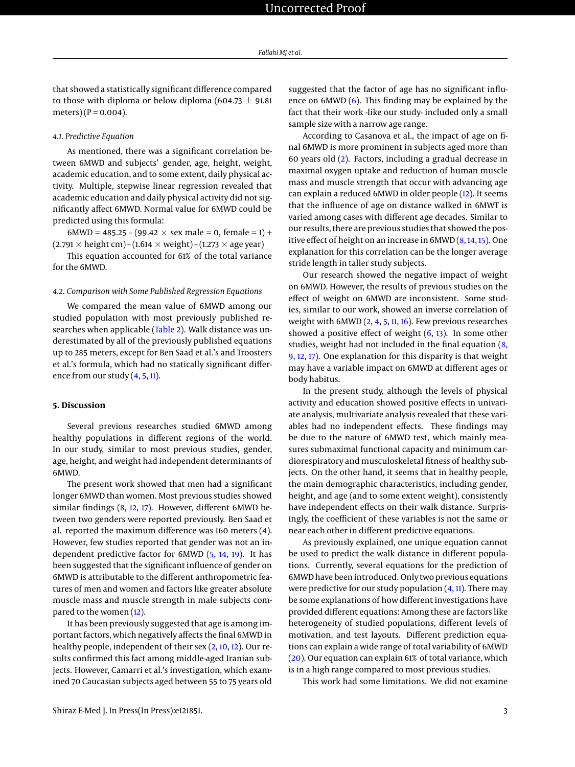that showed a statistically significant difference compared to those with diploma or below diploma (604.73  $\pm$  91.81) meters) ( $P = 0.004$ ).

#### *4.1. Predictive Equation*

As mentioned, there was a significant correlation between 6MWD and subjects' gender, age, height, weight, academic education, and to some extent, daily physical activity. Multiple, stepwise linear regression revealed that academic education and daily physical activity did not significantly affect 6MWD. Normal value for 6MWD could be predicted using this formula:

6MWD = 485.25 – (99.42  $\times$  sex male = 0, female = 1) +  $(2.791 \times \text{height cm}) - (1.614 \times \text{weight}) - (1.273 \times \text{age year})$ 

This equation accounted for 61% of the total variance for the 6MWD.

#### *4.2. Comparison with Some Published Regression Equations*

We compared the mean value of 6MWD among our studied population with most previously published re-searches when applicable [\(Table 2\)](#page-3-2). Walk distance was underestimated by all of the previously published equations up to 285 meters, except for Ben Saad et al.'s and Troosters et al.'s formula, which had no statically significant difference from our study [\(4,](#page-4-1) [5,](#page-4-5) [11\)](#page-4-6).

#### **5. Discussion**

Several previous researches studied 6MWD among healthy populations in different regions of the world. In our study, similar to most previous studies, gender, age, height, and weight had independent determinants of 6MWD.

The present work showed that men had a significant longer 6MWD than women. Most previous studies showed similar findings [\(8,](#page-4-2) [12,](#page-4-7) [17\)](#page-4-8). However, different 6MWD between two genders were reported previously. Ben Saad et al. reported the maximum difference was 160 meters [\(4\)](#page-4-1). However, few studies reported that gender was not an independent predictive factor for 6MWD [\(5,](#page-4-5) [14,](#page-4-9) [19\)](#page-4-10). It has been suggested that the significant influence of gender on 6MWD is attributable to the different anthropometric features of men and women and factors like greater absolute muscle mass and muscle strength in male subjects compared to the women [\(12\)](#page-4-7).

It has been previously suggested that age is among important factors, which negatively affects the final 6MWD in healthy people, independent of their sex [\(2,](#page-3-1) [10,](#page-4-4) [12\)](#page-4-7). Our results confirmed this fact among middle-aged Iranian subjects. However, Camarri et al.'s investigation, which examined 70 Caucasian subjects aged between 55 to 75 years old suggested that the factor of age has no significant influence on 6MWD [\(6\)](#page-4-11). This finding may be explained by the fact that their work -like our study- included only a small sample size with a narrow age range.

According to Casanova et al., the impact of age on final 6MWD is more prominent in subjects aged more than 60 years old [\(2\)](#page-3-1). Factors, including a gradual decrease in maximal oxygen uptake and reduction of human muscle mass and muscle strength that occur with advancing age can explain a reduced 6MWD in older people [\(12\)](#page-4-7). It seems that the influence of age on distance walked in 6MWT is varied among cases with different age decades. Similar to our results, there are previous studies that showed the positive effect of height on an increase in 6MWD [\(8,](#page-4-2) [14,](#page-4-9) [15\)](#page-4-12). One explanation for this correlation can be the longer average stride length in taller study subjects.

Our research showed the negative impact of weight on 6MWD. However, the results of previous studies on the effect of weight on 6MWD are inconsistent. Some studies, similar to our work, showed an inverse correlation of weight with  $6MWD$  ( $2, 4, 5, 11, 16$  $2, 4, 5, 11, 16$  $2, 4, 5, 11, 16$  $2, 4, 5, 11, 16$  $2, 4, 5, 11, 16$  $2, 4, 5, 11, 16$  $2, 4, 5, 11, 16$ ). Few previous researches showed a positive effect of weight  $(6, 13)$  $(6, 13)$  $(6, 13)$ . In some other studies, weight had not included in the final equation [\(8,](#page-4-2) [9,](#page-4-3) [12,](#page-4-7) [17\)](#page-4-8). One explanation for this disparity is that weight may have a variable impact on 6MWD at different ages or body habitus.

In the present study, although the levels of physical activity and education showed positive effects in univariate analysis, multivariate analysis revealed that these variables had no independent effects. These findings may be due to the nature of 6MWD test, which mainly measures submaximal functional capacity and minimum cardiorespiratory and musculoskeletal fitness of healthy subjects. On the other hand, it seems that in healthy people, the main demographic characteristics, including gender, height, and age (and to some extent weight), consistently have independent effects on their walk distance. Surprisingly, the coefficient of these variables is not the same or near each other in different predictive equations.

As previously explained, one unique equation cannot be used to predict the walk distance in different populations. Currently, several equations for the prediction of 6MWD have been introduced. Only two previous equations were predictive for our study population  $(4, 11)$  $(4, 11)$  $(4, 11)$ . There may be some explanations of how different investigations have provided different equations: Among these are factors like heterogeneity of studied populations, different levels of motivation, and test layouts. Different prediction equations can explain a wide range of total variability of 6MWD [\(20\)](#page-4-15). Our equation can explain 61% of total variance, which is in a high range compared to most previous studies.

This work had some limitations. We did not examine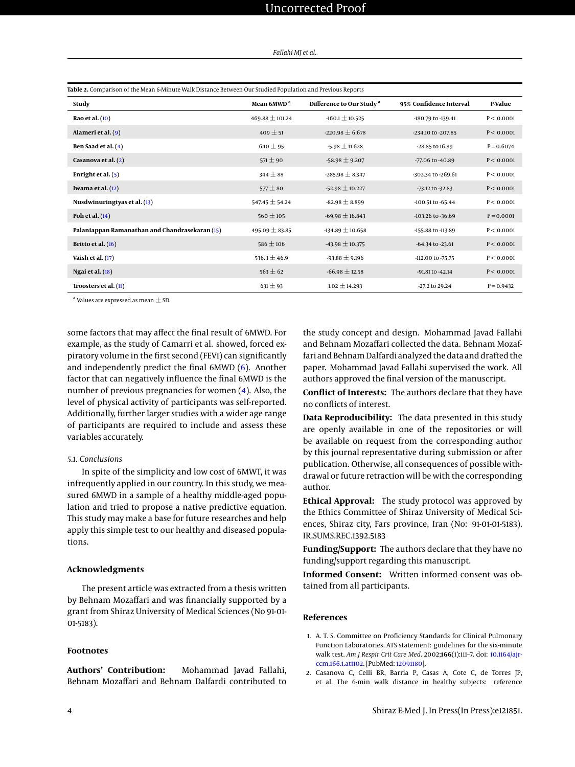| Fallahi MJ et al. |  |  |  |
|-------------------|--|--|--|
|-------------------|--|--|--|

<span id="page-3-2"></span>

| Table 2. Comparison of the Mean 6-Minute Walk Distance Between Our Studied Population and Previous Reports |                        |                                      |                         |              |  |  |
|------------------------------------------------------------------------------------------------------------|------------------------|--------------------------------------|-------------------------|--------------|--|--|
| Study                                                                                                      | Mean 6MWD <sup>a</sup> | Difference to Our Study <sup>a</sup> | 95% Confidence Interval | P-Value      |  |  |
| Rao et al. (10)                                                                                            | $469.88 \pm 101.24$    | $-160.1 \pm 10.525$                  | -180.79 to -139.41      | P < 0.0001   |  |  |
| Alameri et al. (9)                                                                                         | $409 \pm 51$           | $-220.98 \pm 6.678$                  | -234.10 to -207.85      | P < 0.0001   |  |  |
| Ben Saad et al. (4)                                                                                        | $640 \pm 95$           | $-5.98 \pm 11.628$                   | -28.85 to 16.89         | $P = 0.6074$ |  |  |
| Casanova et al. (2)                                                                                        | $571 \pm 90$           | $-58.98 \pm 9.207$                   | -77.06 to -40.89        | P < 0.0001   |  |  |
| Enright et al. $(5)$                                                                                       | $344 \pm 88$           | $-285.98 \pm 8.347$                  | -302.34 to -269.61      | P < 0.0001   |  |  |
| Iwama et al. $(12)$                                                                                        | $577 \pm 80$           | $-52.98 \pm 10.227$                  | $-73.12$ to $-32.83$    | P < 0.0001   |  |  |
| Nusdwinuringtyas et al. (13)                                                                               | $547.45 \pm 54.24$     | $-82.98 \pm 8.899$                   | -100.51 to -65.44       | P < 0.0001   |  |  |
| Poh et al. (14)                                                                                            | $560 \pm 105$          | $-69.98 \pm 16.843$                  | -103.26 to -36.69       | $P = 0.0001$ |  |  |
| Palaniappan Ramanathan and Chandrasekaran (15)                                                             | 495.09 $\pm$ 83.85     | $-134.89 \pm 10.658$                 | -155.88 to -113.89      | P < 0.0001   |  |  |
| Britto et al. $(16)$                                                                                       | $586 \pm 106$          | $-43.98 \pm 10.375$                  | $-64.34$ to $-23.61$    | P < 0.0001   |  |  |
| Vaish et al. $(17)$                                                                                        | 536.1 $\pm$ 46.9       | $-93.88 \pm 9.196$                   | -112.00 to -75.75       | P < 0.0001   |  |  |
| Ngai et al. $(18)$                                                                                         | $563 \pm 62$           | $-66.98 \pm 12.58$                   | -91.81 to -42.14        | P < 0.0001   |  |  |
| Troosters et al. (11)                                                                                      | $631 \pm 93$           | $1.02 \pm 14.293$                    | -27.2 to 29.24          | $P = 0.9432$ |  |  |

 $^{\rm a}$  Values are expressed as mean  $\pm$  SD.

some factors that may affect the final result of 6MWD. For example, as the study of Camarri et al. showed, forced expiratory volume in the first second (FEV1) can significantly and independently predict the final 6MWD [\(6\)](#page-4-11). Another factor that can negatively influence the final 6MWD is the number of previous pregnancies for women [\(4\)](#page-4-1). Also, the level of physical activity of participants was self-reported. Additionally, further larger studies with a wider age range of participants are required to include and assess these variables accurately.

## *5.1. Conclusions*

In spite of the simplicity and low cost of 6MWT, it was infrequently applied in our country. In this study, we measured 6MWD in a sample of a healthy middle-aged population and tried to propose a native predictive equation. This study may make a base for future researches and help apply this simple test to our healthy and diseased populations.

#### **Acknowledgments**

The present article was extracted from a thesis written by Behnam Mozaffari and was financially supported by a grant from Shiraz University of Medical Sciences (No 91-01- 01-5183).

#### **Footnotes**

**Authors' Contribution:** Mohammad Javad Fallahi, Behnam Mozaffari and Behnam Dalfardi contributed to the study concept and design. Mohammad Javad Fallahi and Behnam Mozaffari collected the data. Behnam Mozaffari and Behnam Dalfardi analyzed the data and drafted the paper. Mohammad Javad Fallahi supervised the work. All authors approved the final version of the manuscript.

**Conflict of Interests:** The authors declare that they have no conflicts of interest.

**Data Reproducibility:** The data presented in this study are openly available in one of the repositories or will be available on request from the corresponding author by this journal representative during submission or after publication. Otherwise, all consequences of possible withdrawal or future retraction will be with the corresponding author.

**Ethical Approval:** The study protocol was approved by the Ethics Committee of Shiraz University of Medical Sciences, Shiraz city, Fars province, Iran (No: 91-01-01-5183). IR.SUMS.REC.1392.5183

**Funding/Support:** The authors declare that they have no funding/support regarding this manuscript.

**Informed Consent:** Written informed consent was obtained from all participants.

#### **References**

- <span id="page-3-0"></span>1. A. T. S. Committee on Proficiency Standards for Clinical Pulmonary Function Laboratories. ATS statement: guidelines for the six-minute walk test. *Am J Respir Crit Care Med*. 2002;**166**(1):111–7. doi: [10.1164/ajr](http://dx.doi.org/10.1164/ajrccm.166.1.at1102)[ccm.166.1.at1102.](http://dx.doi.org/10.1164/ajrccm.166.1.at1102) [PubMed: [12091180\]](http://www.ncbi.nlm.nih.gov/pubmed/12091180).
- <span id="page-3-1"></span>2. Casanova C, Celli BR, Barria P, Casas A, Cote C, de Torres JP, et al. The 6-min walk distance in healthy subjects: reference